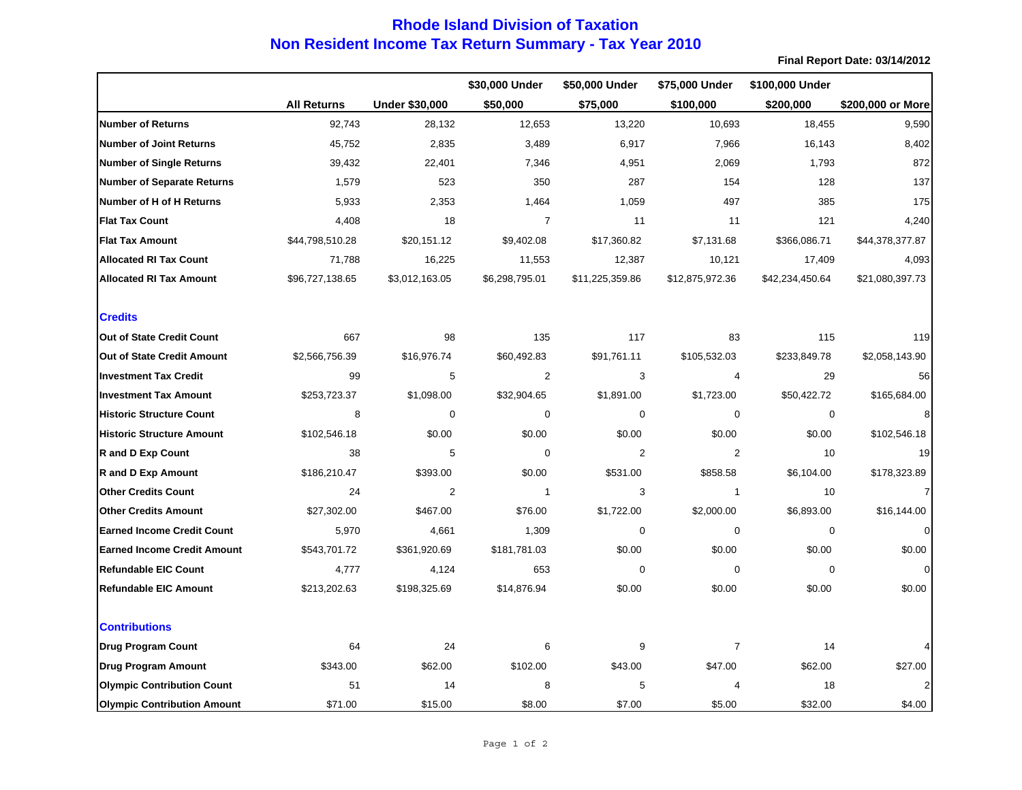## **Non Resident Income Tax Return Summary - Tax Year 2010 Rhode Island Division of Taxation**

**Final Report Date: 03/14/2012**

|                                    |                    |                       | \$30,000 Under | \$50,000 Under  | \$75,000 Under  | \$100,000 Under |                   |
|------------------------------------|--------------------|-----------------------|----------------|-----------------|-----------------|-----------------|-------------------|
|                                    | <b>All Returns</b> | <b>Under \$30,000</b> | \$50,000       | \$75,000        | \$100,000       | \$200,000       | \$200,000 or More |
| <b>Number of Returns</b>           | 92,743             | 28,132                | 12,653         | 13,220          | 10,693          | 18,455          | 9,590             |
| <b>Number of Joint Returns</b>     | 45,752             | 2,835                 | 3,489          | 6,917           | 7,966           | 16,143          | 8,402             |
| <b>Number of Single Returns</b>    | 39,432             | 22,401                | 7,346          | 4,951           | 2,069           | 1,793           | 872               |
| <b>Number of Separate Returns</b>  | 1,579              | 523                   | 350            | 287             | 154             | 128             | 137               |
| Number of H of H Returns           | 5,933              | 2,353                 | 1,464          | 1,059           | 497             | 385             | 175               |
| <b>Flat Tax Count</b>              | 4,408              | 18                    | $\overline{7}$ | 11              | 11              | 121             | 4,240             |
| <b>Flat Tax Amount</b>             | \$44,798,510.28    | \$20,151.12           | \$9,402.08     | \$17,360.82     | \$7,131.68      | \$366,086.71    | \$44,378,377.87   |
| <b>Allocated RI Tax Count</b>      | 71,788             | 16,225                | 11,553         | 12,387          | 10,121          | 17,409          | 4,093             |
| <b>Allocated RI Tax Amount</b>     | \$96,727,138.65    | \$3,012,163.05        | \$6,298,795.01 | \$11,225,359.86 | \$12,875,972.36 | \$42,234,450.64 | \$21,080,397.73   |
| <b>Credits</b>                     |                    |                       |                |                 |                 |                 |                   |
| Out of State Credit Count          | 667                | 98                    | 135            | 117             | 83              | 115             | 119               |
| <b>Out of State Credit Amount</b>  | \$2,566,756.39     | \$16,976.74           | \$60,492.83    | \$91,761.11     | \$105,532.03    | \$233,849.78    | \$2,058,143.90    |
| <b>Investment Tax Credit</b>       | 99                 | 5                     | 2              | 3               | 4               | 29              | 56                |
| <b>Investment Tax Amount</b>       | \$253,723.37       | \$1,098.00            | \$32,904.65    | \$1,891.00      | \$1,723.00      | \$50,422.72     | \$165,684.00      |
| <b>Historic Structure Count</b>    | 8                  | $\mathbf 0$           | 0              | $\mathbf 0$     | $\mathbf 0$     | $\mathbf 0$     | 8                 |
| <b>Historic Structure Amount</b>   | \$102,546.18       | \$0.00                | \$0.00         | \$0.00          | \$0.00          | \$0.00          | \$102,546.18      |
| <b>R</b> and D Exp Count           | 38                 | 5                     | $\pmb{0}$      | 2               | $\overline{c}$  | 10              | 19                |
| <b>R</b> and D Exp Amount          | \$186,210.47       | \$393.00              | \$0.00         | \$531.00        | \$858.58        | \$6,104.00      | \$178,323.89      |
| <b>Other Credits Count</b>         | 24                 | 2                     | $\mathbf{1}$   | 3               | $\mathbf{1}$    | 10              |                   |
| <b>Other Credits Amount</b>        | \$27,302.00        | \$467.00              | \$76.00        | \$1,722.00      | \$2,000.00      | \$6,893.00      | \$16,144.00       |
| <b>Earned Income Credit Count</b>  | 5,970              | 4,661                 | 1,309          | $\mathbf 0$     | $\mathbf 0$     | $\mathbf 0$     |                   |
| <b>Earned Income Credit Amount</b> | \$543,701.72       | \$361,920.69          | \$181,781.03   | \$0.00          | \$0.00          | \$0.00          | \$0.00            |
| <b>Refundable EIC Count</b>        | 4,777              | 4,124                 | 653            | $\mathbf 0$     | $\mathbf 0$     | $\mathbf 0$     | $\Omega$          |
| <b>Refundable EIC Amount</b>       | \$213,202.63       | \$198,325.69          | \$14,876.94    | \$0.00          | \$0.00          | \$0.00          | \$0.00            |
| <b>Contributions</b>               |                    |                       |                |                 |                 |                 |                   |
| <b>Drug Program Count</b>          | 64                 | 24                    | 6              | 9               | $\overline{7}$  | 14              |                   |
| <b>Drug Program Amount</b>         | \$343.00           | \$62.00               | \$102.00       | \$43.00         | \$47.00         | \$62.00         | \$27.00           |
| <b>Olympic Contribution Count</b>  | 51                 | 14                    | 8              | 5               | 4               | 18              |                   |
| <b>Olympic Contribution Amount</b> | \$71.00            | \$15.00               | \$8.00         | \$7.00          | \$5.00          | \$32.00         | \$4.00            |